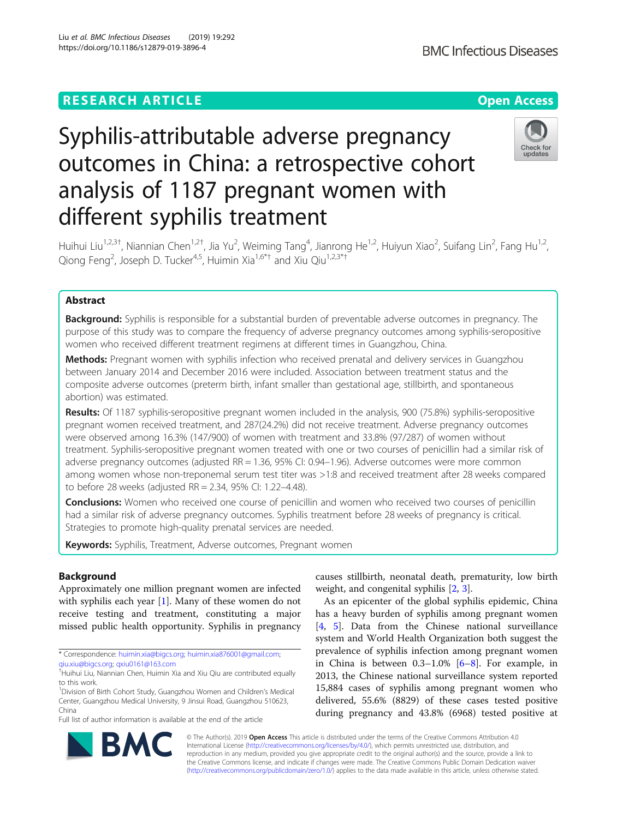Liu et al. BMC Infectious Diseases (2019) 19:292 https://doi.org/10.1186/s12879-019-3896-4

# Syphilis-attributable adverse pregnancy outcomes in China: a retrospective cohort analysis of 1187 pregnant women with different syphilis treatment



Huihui Liu<sup>1,2,3†</sup>, Niannian Chen<sup>1,2†</sup>, Jia Yu<sup>2</sup>, Weiming Tang<sup>4</sup>, Jianrong He<sup>1,2</sup>, Huiyun Xiao<sup>2</sup>, Suifang Lin<sup>2</sup>, Fang Hu<sup>1,2</sup>, Qiong Feng<sup>2</sup>, Joseph D. Tucker<sup>4,5</sup>, Huimin Xia<sup>1,6\*†</sup> and Xiu Qiu<sup>1,2,3\*†</sup>

## Abstract

**Background:** Syphilis is responsible for a substantial burden of preventable adverse outcomes in pregnancy. The purpose of this study was to compare the frequency of adverse pregnancy outcomes among syphilis-seropositive women who received different treatment regimens at different times in Guangzhou, China.

Methods: Pregnant women with syphilis infection who received prenatal and delivery services in Guangzhou between January 2014 and December 2016 were included. Association between treatment status and the composite adverse outcomes (preterm birth, infant smaller than gestational age, stillbirth, and spontaneous abortion) was estimated.

Results: Of 1187 syphilis-seropositive pregnant women included in the analysis, 900 (75.8%) syphilis-seropositive pregnant women received treatment, and 287(24.2%) did not receive treatment. Adverse pregnancy outcomes were observed among 16.3% (147/900) of women with treatment and 33.8% (97/287) of women without treatment. Syphilis-seropositive pregnant women treated with one or two courses of penicillin had a similar risk of adverse pregnancy outcomes (adjusted RR = 1.36, 95% CI: 0.94–1.96). Adverse outcomes were more common among women whose non-treponemal serum test titer was >1:8 and received treatment after 28 weeks compared to before 28 weeks (adjusted RR = 2.34, 95% CI: 1.22–4.48).

**Conclusions:** Women who received one course of penicillin and women who received two courses of penicillin had a similar risk of adverse pregnancy outcomes. Syphilis treatment before 28 weeks of pregnancy is critical. Strategies to promote high-quality prenatal services are needed.

Keywords: Syphilis, Treatment, Adverse outcomes, Pregnant women

## Background

Approximately one million pregnant women are infected with syphilis each year [[1](#page-7-0)]. Many of these women do not receive testing and treatment, constituting a major missed public health opportunity. Syphilis in pregnancy

Full list of author information is available at the end of the article

causes stillbirth, neonatal death, prematurity, low birth weight, and congenital syphilis [\[2](#page-7-0), [3](#page-7-0)].

As an epicenter of the global syphilis epidemic, China has a heavy burden of syphilis among pregnant women [[4,](#page-7-0) [5\]](#page-7-0). Data from the Chinese national surveillance system and World Health Organization both suggest the prevalence of syphilis infection among pregnant women in China is between  $0.3-1.0\%$  [[6](#page-7-0)–[8](#page-7-0)]. For example, in 2013, the Chinese national surveillance system reported 15,884 cases of syphilis among pregnant women who delivered, 55.6% (8829) of these cases tested positive during pregnancy and 43.8% (6968) tested positive at



© The Author(s). 2019 Open Access This article is distributed under the terms of the Creative Commons Attribution 4.0 International License [\(http://creativecommons.org/licenses/by/4.0/](http://creativecommons.org/licenses/by/4.0/)), which permits unrestricted use, distribution, and reproduction in any medium, provided you give appropriate credit to the original author(s) and the source, provide a link to the Creative Commons license, and indicate if changes were made. The Creative Commons Public Domain Dedication waiver [\(http://creativecommons.org/publicdomain/zero/1.0/](http://creativecommons.org/publicdomain/zero/1.0/)) applies to the data made available in this article, unless otherwise stated.

<sup>\*</sup> Correspondence: [huimin.xia@bigcs.org;](mailto:huimin.xia@bigcs.org) [huimin.xia876001@gmail.com;](mailto:huimin.xia876001@gmail.com) [qiu.xiu@bigcs.org;](mailto:qiu.xiu@bigcs.org) [qxiu0161@163.com](mailto:qxiu0161@163.com) †

Huihui Liu, Niannian Chen, Huimin Xia and Xiu Qiu are contributed equally to this work.

<sup>&</sup>lt;sup>1</sup> Division of Birth Cohort Study, Guangzhou Women and Children's Medical Center, Guangzhou Medical University, 9 Jinsui Road, Guangzhou 510623, China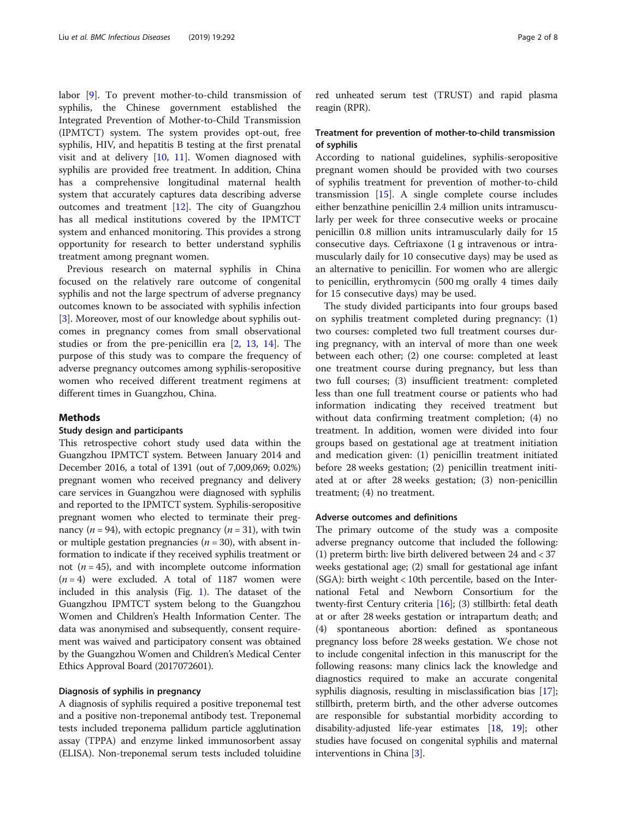labor [\[9\]](#page-7-0). To prevent mother-to-child transmission of syphilis, the Chinese government established the Integrated Prevention of Mother-to-Child Transmission (IPMTCT) system. The system provides opt-out, free syphilis, HIV, and hepatitis B testing at the first prenatal visit and at delivery [\[10](#page-7-0), [11](#page-7-0)]. Women diagnosed with syphilis are provided free treatment. In addition, China has a comprehensive longitudinal maternal health system that accurately captures data describing adverse outcomes and treatment [\[12](#page-7-0)]. The city of Guangzhou has all medical institutions covered by the IPMTCT system and enhanced monitoring. This provides a strong opportunity for research to better understand syphilis treatment among pregnant women.

Previous research on maternal syphilis in China focused on the relatively rare outcome of congenital syphilis and not the large spectrum of adverse pregnancy outcomes known to be associated with syphilis infection [[3\]](#page-7-0). Moreover, most of our knowledge about syphilis outcomes in pregnancy comes from small observational studies or from the pre-penicillin era [[2,](#page-7-0) [13](#page-7-0), [14](#page-7-0)]. The purpose of this study was to compare the frequency of adverse pregnancy outcomes among syphilis-seropositive women who received different treatment regimens at different times in Guangzhou, China.

### Methods

#### Study design and participants

This retrospective cohort study used data within the Guangzhou IPMTCT system. Between January 2014 and December 2016, a total of 1391 (out of 7,009,069; 0.02%) pregnant women who received pregnancy and delivery care services in Guangzhou were diagnosed with syphilis and reported to the IPMTCT system. Syphilis-seropositive pregnant women who elected to terminate their pregnancy ( $n = 94$ ), with ectopic pregnancy ( $n = 31$ ), with twin or multiple gestation pregnancies ( $n = 30$ ), with absent information to indicate if they received syphilis treatment or not  $(n = 45)$ , and with incomplete outcome information  $(n = 4)$  were excluded. A total of 1187 women were included in this analysis (Fig. [1\)](#page-2-0). The dataset of the Guangzhou IPMTCT system belong to the Guangzhou Women and Children's Health Information Center. The data was anonymised and subsequently, consent requirement was waived and participatory consent was obtained by the Guangzhou Women and Children's Medical Center Ethics Approval Board (2017072601).

#### Diagnosis of syphilis in pregnancy

A diagnosis of syphilis required a positive treponemal test and a positive non-treponemal antibody test. Treponemal tests included treponema pallidum particle agglutination assay (TPPA) and enzyme linked immunosorbent assay (ELISA). Non-treponemal serum tests included toluidine

red unheated serum test (TRUST) and rapid plasma reagin (RPR).

#### Treatment for prevention of mother-to-child transmission of syphilis

According to national guidelines, syphilis-seropositive pregnant women should be provided with two courses of syphilis treatment for prevention of mother-to-child transmission [[15](#page-7-0)]. A single complete course includes either benzathine penicillin 2.4 million units intramuscularly per week for three consecutive weeks or procaine penicillin 0.8 million units intramuscularly daily for 15 consecutive days. Ceftriaxone (1 g intravenous or intramuscularly daily for 10 consecutive days) may be used as an alternative to penicillin. For women who are allergic to penicillin, erythromycin (500 mg orally 4 times daily for 15 consecutive days) may be used.

The study divided participants into four groups based on syphilis treatment completed during pregnancy: (1) two courses: completed two full treatment courses during pregnancy, with an interval of more than one week between each other; (2) one course: completed at least one treatment course during pregnancy, but less than two full courses; (3) insufficient treatment: completed less than one full treatment course or patients who had information indicating they received treatment but without data confirming treatment completion; (4) no treatment. In addition, women were divided into four groups based on gestational age at treatment initiation and medication given: (1) penicillin treatment initiated before 28 weeks gestation; (2) penicillin treatment initiated at or after 28 weeks gestation; (3) non-penicillin treatment; (4) no treatment.

#### Adverse outcomes and definitions

The primary outcome of the study was a composite adverse pregnancy outcome that included the following: (1) preterm birth: live birth delivered between 24 and < 37 weeks gestational age; (2) small for gestational age infant (SGA): birth weight < 10th percentile, based on the International Fetal and Newborn Consortium for the twenty-first Century criteria [[16](#page-7-0)]; (3) stillbirth: fetal death at or after 28 weeks gestation or intrapartum death; and (4) spontaneous abortion: defined as spontaneous pregnancy loss before 28 weeks gestation. We chose not to include congenital infection in this manuscript for the following reasons: many clinics lack the knowledge and diagnostics required to make an accurate congenital syphilis diagnosis, resulting in misclassification bias [[17](#page-7-0)]; stillbirth, preterm birth, and the other adverse outcomes are responsible for substantial morbidity according to disability-adjusted life-year estimates [\[18,](#page-7-0) [19\]](#page-7-0); other studies have focused on congenital syphilis and maternal interventions in China [\[3\]](#page-7-0).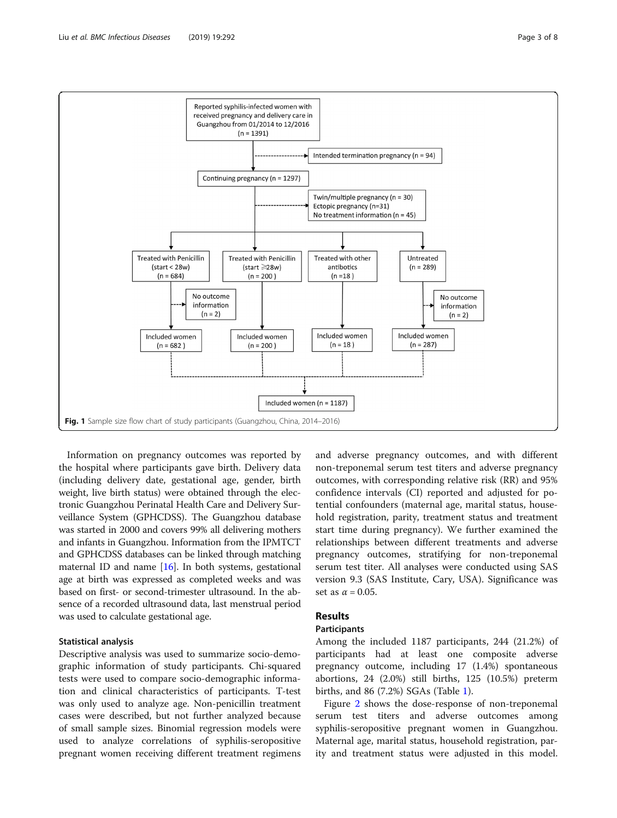<span id="page-2-0"></span>

Information on pregnancy outcomes was reported by the hospital where participants gave birth. Delivery data (including delivery date, gestational age, gender, birth weight, live birth status) were obtained through the electronic Guangzhou Perinatal Health Care and Delivery Surveillance System (GPHCDSS). The Guangzhou database was started in 2000 and covers 99% all delivering mothers and infants in Guangzhou. Information from the IPMTCT and GPHCDSS databases can be linked through matching maternal ID and name [[16](#page-7-0)]. In both systems, gestational age at birth was expressed as completed weeks and was based on first- or second-trimester ultrasound. In the absence of a recorded ultrasound data, last menstrual period was used to calculate gestational age.

#### Statistical analysis

Descriptive analysis was used to summarize socio-demographic information of study participants. Chi-squared tests were used to compare socio-demographic information and clinical characteristics of participants. T-test was only used to analyze age. Non-penicillin treatment cases were described, but not further analyzed because of small sample sizes. Binomial regression models were used to analyze correlations of syphilis-seropositive pregnant women receiving different treatment regimens and adverse pregnancy outcomes, and with different non-treponemal serum test titers and adverse pregnancy outcomes, with corresponding relative risk (RR) and 95% confidence intervals (CI) reported and adjusted for potential confounders (maternal age, marital status, household registration, parity, treatment status and treatment start time during pregnancy). We further examined the relationships between different treatments and adverse pregnancy outcomes, stratifying for non-treponemal serum test titer. All analyses were conducted using SAS version 9.3 (SAS Institute, Cary, USA). Significance was set as  $\alpha = 0.05$ .

## Results

## Participants

Among the included 1187 participants, 244 (21.2%) of participants had at least one composite adverse pregnancy outcome, including 17 (1.4%) spontaneous abortions, 24 (2.0%) still births, 125 (10.5%) preterm births, and 86 (7.2%) SGAs (Table [1\)](#page-3-0).

Figure [2](#page-3-0) shows the dose-response of non-treponemal serum test titers and adverse outcomes among syphilis-seropositive pregnant women in Guangzhou. Maternal age, marital status, household registration, parity and treatment status were adjusted in this model.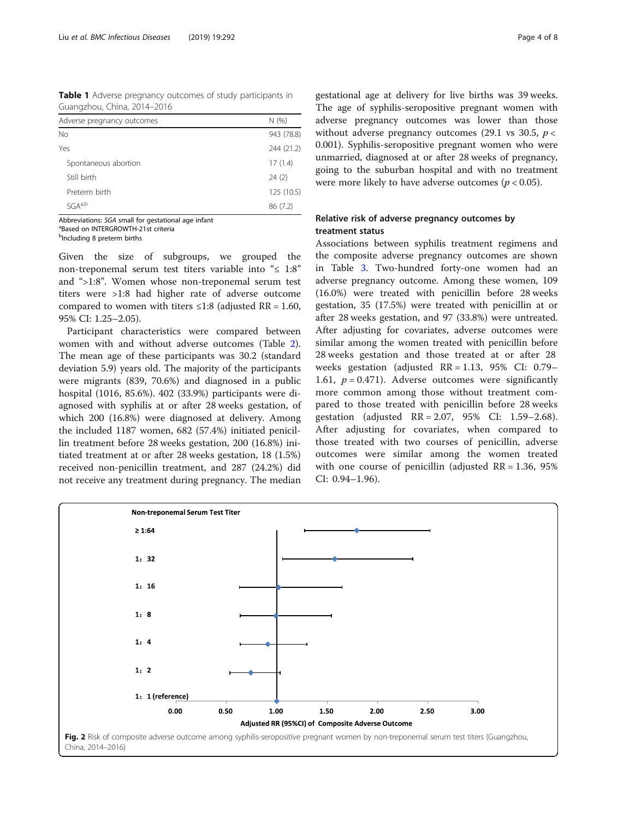<span id="page-3-0"></span>Table 1 Adverse pregnancy outcomes of study participants in Guangzhou, China, 2014–2016

| Adverse pregnancy outcomes | N(% )      |
|----------------------------|------------|
| No                         | 943 (78.8) |
| Yes                        | 244 (21.2) |
| Spontaneous abortion       | 17(1.4)    |
| Still birth                | 24(2)      |
| Preterm birth              | 125 (10.5) |
| SGA <sup>a,b</sup>         | 86 (7.2)   |

Abbreviations: SGA small for gestational age infant <sup>a</sup>Based on INTERGROWTH-21st criteria

<sup>b</sup>Including 8 preterm births

Given the size of subgroups, we grouped the non-treponemal serum test titers variable into "≤ 1:8" and ">1:8". Women whose non-treponemal serum test titers were >1:8 had higher rate of adverse outcome compared to women with titers  $\leq 1:8$  (adjusted RR = 1.60, 95% CI: 1.25–2.05).

Participant characteristics were compared between women with and without adverse outcomes (Table [2](#page-4-0)). The mean age of these participants was 30.2 (standard deviation 5.9) years old. The majority of the participants were migrants (839, 70.6%) and diagnosed in a public hospital (1016, 85.6%). 402 (33.9%) participants were diagnosed with syphilis at or after 28 weeks gestation, of which 200 (16.8%) were diagnosed at delivery. Among the included 1187 women, 682 (57.4%) initiated penicillin treatment before 28 weeks gestation, 200 (16.8%) initiated treatment at or after 28 weeks gestation, 18 (1.5%) received non-penicillin treatment, and 287 (24.2%) did not receive any treatment during pregnancy. The median gestational age at delivery for live births was 39 weeks. The age of syphilis-seropositive pregnant women with adverse pregnancy outcomes was lower than those without adverse pregnancy outcomes (29.1 vs 30.5,  $p <$ 0.001). Syphilis-seropositive pregnant women who were unmarried, diagnosed at or after 28 weeks of pregnancy, going to the suburban hospital and with no treatment were more likely to have adverse outcomes ( $p < 0.05$ ).

## Relative risk of adverse pregnancy outcomes by treatment status

Associations between syphilis treatment regimens and the composite adverse pregnancy outcomes are shown in Table [3](#page-5-0). Two-hundred forty-one women had an adverse pregnancy outcome. Among these women, 109 (16.0%) were treated with penicillin before 28 weeks gestation, 35 (17.5%) were treated with penicillin at or after 28 weeks gestation, and 97 (33.8%) were untreated. After adjusting for covariates, adverse outcomes were similar among the women treated with penicillin before 28 weeks gestation and those treated at or after 28 weeks gestation (adjusted RR = 1.13, 95% CI: 0.79– 1.61,  $p = 0.471$ ). Adverse outcomes were significantly more common among those without treatment compared to those treated with penicillin before 28 weeks gestation (adjusted RR = 2.07, 95% CI: 1.59–2.68). After adjusting for covariates, when compared to those treated with two courses of penicillin, adverse outcomes were similar among the women treated with one course of penicillin (adjusted RR = 1.36, 95% CI: 0.94–1.96).

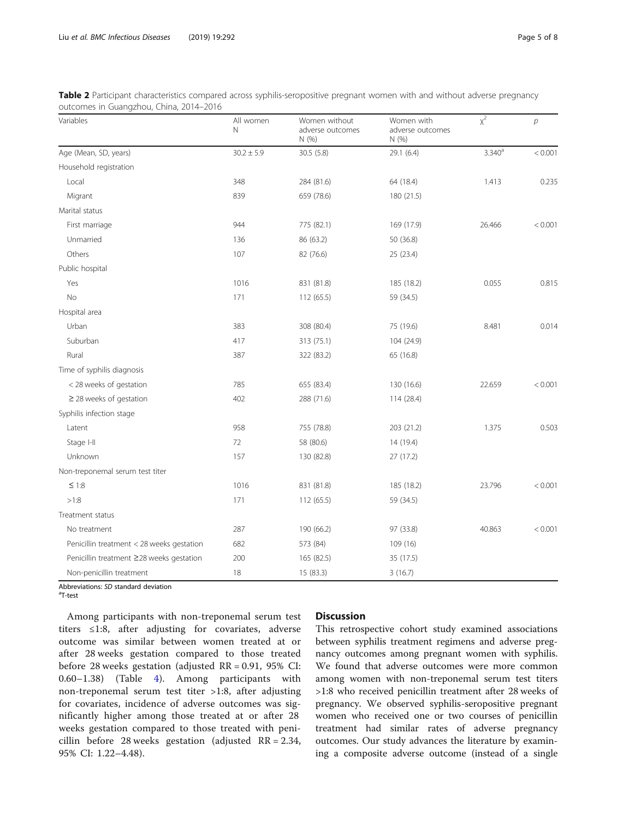| Variables                                 | All women<br>N | Women without<br>adverse outcomes<br>N (%) | Women with<br>adverse outcomes<br>N (%) | $x^2$              | р       |
|-------------------------------------------|----------------|--------------------------------------------|-----------------------------------------|--------------------|---------|
| Age (Mean, SD, years)                     | $30.2 \pm 5.9$ | 30.5 (5.8)                                 | 29.1 (6.4)                              | 3.340 <sup>a</sup> | < 0.001 |
| Household registration                    |                |                                            |                                         |                    |         |
| Local                                     | 348            | 284 (81.6)                                 | 64 (18.4)                               | 1.413              | 0.235   |
| Migrant                                   | 839            | 659 (78.6)                                 | 180 (21.5)                              |                    |         |
| Marital status                            |                |                                            |                                         |                    |         |
| First marriage                            | 944            | 775 (82.1)                                 | 169 (17.9)                              | 26.466             | < 0.001 |
| Unmarried                                 | 136            | 86 (63.2)                                  | 50 (36.8)                               |                    |         |
| Others                                    | 107            | 82 (76.6)                                  | 25 (23.4)                               |                    |         |
| Public hospital                           |                |                                            |                                         |                    |         |
| Yes                                       | 1016           | 831 (81.8)                                 | 185 (18.2)                              | 0.055              | 0.815   |
| No                                        | 171            | 112 (65.5)                                 | 59 (34.5)                               |                    |         |
| Hospital area                             |                |                                            |                                         |                    |         |
| Urban                                     | 383            | 308 (80.4)                                 | 75 (19.6)                               | 8.481              | 0.014   |
| Suburban                                  | 417            | 313 (75.1)                                 | 104 (24.9)                              |                    |         |
| Rural                                     | 387            | 322 (83.2)                                 | 65 (16.8)                               |                    |         |
| Time of syphilis diagnosis                |                |                                            |                                         |                    |         |
| < 28 weeks of gestation                   | 785            | 655 (83.4)                                 | 130 (16.6)                              | 22.659             | < 0.001 |
| $\geq$ 28 weeks of gestation              | 402            | 288 (71.6)                                 | 114 (28.4)                              |                    |         |
| Syphilis infection stage                  |                |                                            |                                         |                    |         |
| Latent                                    | 958            | 755 (78.8)                                 | 203 (21.2)                              | 1.375              | 0.503   |
| Stage I-II                                | 72             | 58 (80.6)                                  | 14 (19.4)                               |                    |         |
| Unknown                                   | 157            | 130 (82.8)                                 | 27 (17.2)                               |                    |         |
| Non-treponemal serum test titer           |                |                                            |                                         |                    |         |
| $≤ 1:8$                                   | 1016           | 831 (81.8)                                 | 185 (18.2)                              | 23.796             | < 0.001 |
| >1:8                                      | 171            | 112 (65.5)                                 | 59 (34.5)                               |                    |         |
| Treatment status                          |                |                                            |                                         |                    |         |
| No treatment                              | 287            | 190 (66.2)                                 | 97 (33.8)                               | 40.863             | < 0.001 |
| Penicillin treatment < 28 weeks gestation | 682            | 573 (84)                                   | 109 (16)                                |                    |         |
| Penicillin treatment ≥28 weeks gestation  | 200            | 165 (82.5)                                 | 35 (17.5)                               |                    |         |
| Non-penicillin treatment                  | 18             | 15 (83.3)                                  | 3(16.7)                                 |                    |         |

<span id="page-4-0"></span>

| Table 2 Participant characteristics compared across syphilis-seropositive pregnant women with and without adverse pregnancy |  |  |  |
|-----------------------------------------------------------------------------------------------------------------------------|--|--|--|
| outcomes in Guangzhou, China, 2014-2016                                                                                     |  |  |  |

Abbreviations: SD standard deviation

T-test

Among participants with non-treponemal serum test titers ≤1:8, after adjusting for covariates, adverse outcome was similar between women treated at or after 28 weeks gestation compared to those treated before 28 weeks gestation (adjusted RR = 0.91, 95% CI: 0.60–1.38) (Table [4\)](#page-5-0). Among participants with non-treponemal serum test titer >1:8, after adjusting for covariates, incidence of adverse outcomes was significantly higher among those treated at or after 28 weeks gestation compared to those treated with penicillin before 28 weeks gestation (adjusted  $RR = 2.34$ , 95% CI: 1.22–4.48).

#### **Discussion**

This retrospective cohort study examined associations between syphilis treatment regimens and adverse pregnancy outcomes among pregnant women with syphilis. We found that adverse outcomes were more common among women with non-treponemal serum test titers >1:8 who received penicillin treatment after 28 weeks of pregnancy. We observed syphilis-seropositive pregnant women who received one or two courses of penicillin treatment had similar rates of adverse pregnancy outcomes. Our study advances the literature by examining a composite adverse outcome (instead of a single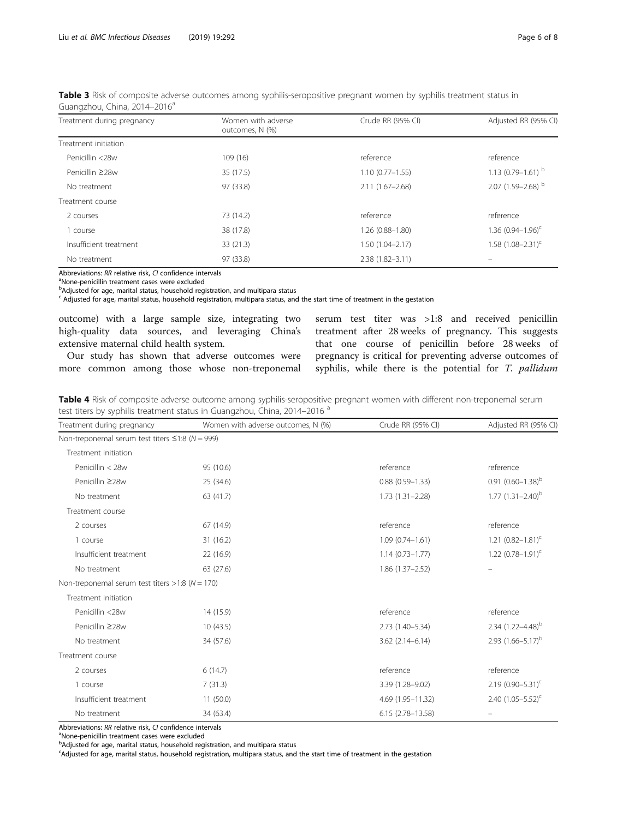| Treatment during pregnancy | Women with adverse<br>outcomes, N (%) | Crude RR (95% CI)   | Adjusted RR (95% CI)        |
|----------------------------|---------------------------------------|---------------------|-----------------------------|
| Treatment initiation       |                                       |                     |                             |
| Penicillin <28w            | 109(16)                               | reference           | reference                   |
| Penicillin ≥28w            | 35 (17.5)                             | $1.10(0.77 - 1.55)$ | 1.13 $(0.79 - 1.61)^{b}$    |
| No treatment               | 97 (33.8)                             | $2.11(1.67 - 2.68)$ | 2.07 (1.59-2.68) $^{\rm b}$ |
| Treatment course           |                                       |                     |                             |
| 2 courses                  | 73 (14.2)                             | reference           | reference                   |
| 1 course                   | 38 (17.8)                             | $1.26(0.88 - 1.80)$ | $1.36(0.94 - 1.96)^c$       |
| Insufficient treatment     | 33(21.3)                              | $1.50(1.04 - 2.17)$ | $1.58$ $(1.08 - 2.31)^c$    |
| No treatment               | 97 (33.8)                             | $2.38(1.82 - 3.11)$ |                             |

<span id="page-5-0"></span>

| Table 3 Risk of composite adverse outcomes among syphilis-seropositive pregnant women by syphilis treatment status in |  |  |  |
|-----------------------------------------------------------------------------------------------------------------------|--|--|--|
| Guangzhou, China, 2014-2016 <sup>a</sup>                                                                              |  |  |  |

Abbreviations: RR relative risk, CI confidence intervals

None-penicillin treatment cases were excluded

<sup>b</sup>Adjusted for age, marital status, household registration, and multipara status <sup>c</sup> Adjusted for age, marital status, household registration, multipara status, and the start time of treatment in the gestation

outcome) with a large sample size, integrating two high-quality data sources, and leveraging China's extensive maternal child health system.

Our study has shown that adverse outcomes were more common among those whose non-treponemal

serum test titer was >1:8 and received penicillin treatment after 28 weeks of pregnancy. This suggests that one course of penicillin before 28 weeks of pregnancy is critical for preventing adverse outcomes of syphilis, while there is the potential for T. pallidum

Table 4 Risk of composite adverse outcome among syphilis-seropositive pregnant women with different non-treponemal serum test titers by syphilis treatment status in Guangzhou, China, 2014–2016<sup>a</sup>

| Treatment during pregnancy                            | Women with adverse outcomes, N (%) | Crude RR (95% CI)    | Adjusted RR (95% CI)              |
|-------------------------------------------------------|------------------------------------|----------------------|-----------------------------------|
| Non-treponemal serum test titers $\leq$ 1:8 (N = 999) |                                    |                      |                                   |
| Treatment initiation                                  |                                    |                      |                                   |
| Penicillin < 28w                                      | 95 (10.6)                          | reference            | reference                         |
| Penicillin ≥28w                                       | 25 (34.6)                          | $0.88(0.59 - 1.33)$  | $0.91$ $(0.60-1.38)^{b}$          |
| No treatment                                          | 63 (41.7)                          | $1.73(1.31 - 2.28)$  | $1.77 (1.31 - 2.40)^{b}$          |
| Treatment course                                      |                                    |                      |                                   |
| 2 courses                                             | 67 (14.9)                          | reference            | reference                         |
| 1 course                                              | 31 (16.2)                          | $1.09(0.74 - 1.61)$  | 1.21 $(0.82 - 1.81)^c$            |
| Insufficient treatment                                | 22 (16.9)                          | $1.14(0.73 - 1.77)$  | 1.22 $(0.78 - 1.91)$ <sup>c</sup> |
| No treatment                                          | 63 (27.6)                          | $1.86(1.37 - 2.52)$  |                                   |
| Non-treponemal serum test titers $>1.8$ ( $N = 170$ ) |                                    |                      |                                   |
| Treatment initiation                                  |                                    |                      |                                   |
| Penicillin <28w                                       | 14 (15.9)                          | reference            | reference                         |
| Penicillin ≥28w                                       | 10(43.5)                           | 2.73 (1.40-5.34)     | 2.34 $(1.22 - 4.48)^b$            |
| No treatment                                          | 34 (57.6)                          | $3.62(2.14 - 6.14)$  | 2.93 $(1.66 - 5.17)^b$            |
| Treatment course                                      |                                    |                      |                                   |
| 2 courses                                             | 6(14.7)                            | reference            | reference                         |
| 1 course                                              | 7(31.3)                            | 3.39 (1.28-9.02)     | $2.19(0.90 - 5.31)^c$             |
| Insufficient treatment                                | 11(50.0)                           | 4.69 (1.95-11.32)    | 2.40 $(1.05 - 5.52)^c$            |
| No treatment                                          | 34 (63.4)                          | $6.15(2.78 - 13.58)$ | -                                 |

Abbreviations: RR relative risk, CI confidence intervals

None-penicillin treatment cases were excluded

<sup>b</sup>Adjusted for age, marital status, household registration, and multipara status

c Adjusted for age, marital status, household registration, multipara status, and the start time of treatment in the gestation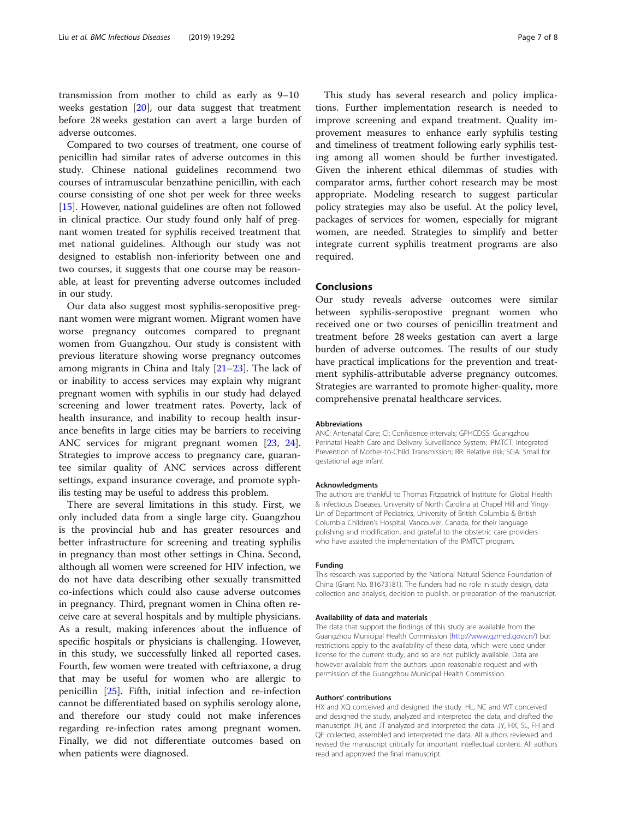transmission from mother to child as early as 9–10 weeks gestation [[20](#page-7-0)], our data suggest that treatment before 28 weeks gestation can avert a large burden of adverse outcomes.

Compared to two courses of treatment, one course of penicillin had similar rates of adverse outcomes in this study. Chinese national guidelines recommend two courses of intramuscular benzathine penicillin, with each course consisting of one shot per week for three weeks [[15\]](#page-7-0). However, national guidelines are often not followed in clinical practice. Our study found only half of pregnant women treated for syphilis received treatment that met national guidelines. Although our study was not designed to establish non-inferiority between one and two courses, it suggests that one course may be reasonable, at least for preventing adverse outcomes included in our study.

Our data also suggest most syphilis-seropositive pregnant women were migrant women. Migrant women have worse pregnancy outcomes compared to pregnant women from Guangzhou. Our study is consistent with previous literature showing worse pregnancy outcomes among migrants in China and Italy [\[21](#page-7-0)–[23\]](#page-7-0). The lack of or inability to access services may explain why migrant pregnant women with syphilis in our study had delayed screening and lower treatment rates. Poverty, lack of health insurance, and inability to recoup health insurance benefits in large cities may be barriers to receiving ANC services for migrant pregnant women [[23](#page-7-0), [24](#page-7-0)]. Strategies to improve access to pregnancy care, guarantee similar quality of ANC services across different settings, expand insurance coverage, and promote syphilis testing may be useful to address this problem.

There are several limitations in this study. First, we only included data from a single large city. Guangzhou is the provincial hub and has greater resources and better infrastructure for screening and treating syphilis in pregnancy than most other settings in China. Second, although all women were screened for HIV infection, we do not have data describing other sexually transmitted co-infections which could also cause adverse outcomes in pregnancy. Third, pregnant women in China often receive care at several hospitals and by multiple physicians. As a result, making inferences about the influence of specific hospitals or physicians is challenging. However, in this study, we successfully linked all reported cases. Fourth, few women were treated with ceftriaxone, a drug that may be useful for women who are allergic to penicillin [\[25](#page-7-0)]. Fifth, initial infection and re-infection cannot be differentiated based on syphilis serology alone, and therefore our study could not make inferences regarding re-infection rates among pregnant women. Finally, we did not differentiate outcomes based on when patients were diagnosed.

This study has several research and policy implications. Further implementation research is needed to improve screening and expand treatment. Quality improvement measures to enhance early syphilis testing and timeliness of treatment following early syphilis testing among all women should be further investigated. Given the inherent ethical dilemmas of studies with comparator arms, further cohort research may be most appropriate. Modeling research to suggest particular policy strategies may also be useful. At the policy level, packages of services for women, especially for migrant women, are needed. Strategies to simplify and better integrate current syphilis treatment programs are also required.

## Conclusions

Our study reveals adverse outcomes were similar between syphilis-seropostive pregnant women who received one or two courses of penicillin treatment and treatment before 28 weeks gestation can avert a large burden of adverse outcomes. The results of our study have practical implications for the prevention and treatment syphilis-attributable adverse pregnancy outcomes. Strategies are warranted to promote higher-quality, more comprehensive prenatal healthcare services.

#### Abbreviations

ANC: Antenatal Care; CI: Confidence intervals; GPHCDSS: Guangzhou Perinatal Health Care and Delivery Surveillance System; IPMTCT: Integrated Prevention of Mother-to-Child Transmission; RR: Relative risk; SGA: Small for gestational age infant

#### Acknowledgments

The authors are thankful to Thomas Fitzpatrick of Institute for Global Health & Infectious Diseases, University of North Carolina at Chapel Hill and Yingyi Lin of Department of Pediatrics, University of British Columbia & British Columbia Children's Hospital, Vancouver, Canada, for their language polishing and modification, and grateful to the obstetric care providers who have assisted the implementation of the IPMTCT program.

#### Funding

This research was supported by the National Natural Science Foundation of China (Grant No. 81673181). The funders had no role in study design, data collection and analysis, decision to publish, or preparation of the manuscript.

#### Availability of data and materials

The data that support the findings of this study are available from the Guangzhou Municipal Health Commission (<http://www.gzmed.gov.cn/>) but restrictions apply to the availability of these data, which were used under license for the current study, and so are not publicly available. Data are however available from the authors upon reasonable request and with permission of the Guangzhou Municipal Health Commission.

#### Authors' contributions

HX and XQ conceived and designed the study. HL, NC and WT conceived and designed the study, analyzed and interpreted the data, and drafted the manuscript. JH, and JT analyzed and interpreted the data. JY, HX, SL, FH and QF collected, assembled and interpreted the data. All authors reviewed and revised the manuscript critically for important intellectual content. All authors read and approved the final manuscript.